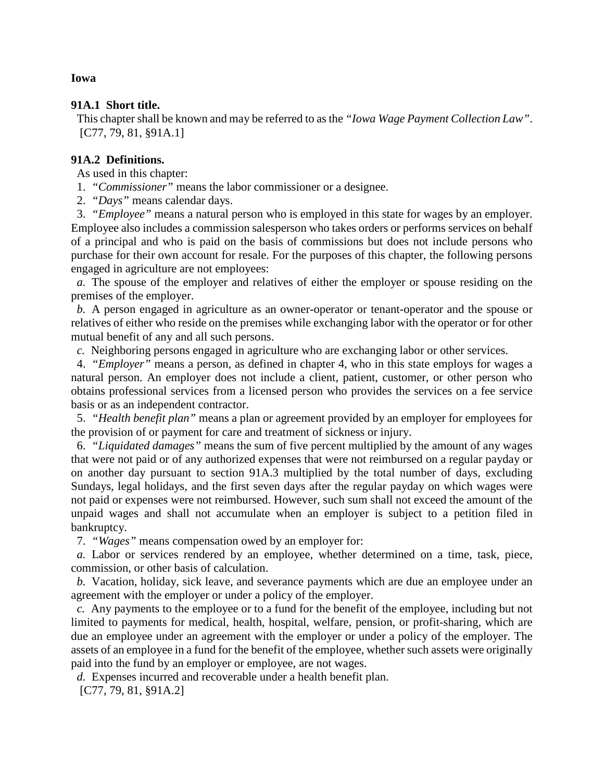## **91A.1 Short title.**

This chapter shall be known and may be referred to as the *"Iowa Wage Payment Collection Law"*. [C77, 79, 81, §91A.1]

# **91A.2 Definitions.**

As used in this chapter:

- 1. *"Commissioner"* means the labor commissioner or a designee.
- 2. *"Days"* means calendar days.

3. *"Employee"* means a natural person who is employed in this state for wages by an employer. Employee also includes a commission salesperson who takes orders or performs services on behalf of a principal and who is paid on the basis of commissions but does not include persons who purchase for their own account for resale. For the purposes of this chapter, the following persons engaged in agriculture are not employees:

*a.* The spouse of the employer and relatives of either the employer or spouse residing on the premises of the employer.

*b.* A person engaged in agriculture as an owner-operator or tenant-operator and the spouse or relatives of either who reside on the premises while exchanging labor with the operator or for other mutual benefit of any and all such persons.

*c.* Neighboring persons engaged in agriculture who are exchanging labor or other services.

4. *"Employer"* means a person, as defined in chapter 4, who in this state employs for wages a natural person. An employer does not include a client, patient, customer, or other person who obtains professional services from a licensed person who provides the services on a fee service basis or as an independent contractor.

5. *"Health benefit plan"* means a plan or agreement provided by an employer for employees for the provision of or payment for care and treatment of sickness or injury.

6. *"Liquidated damages"* means the sum of five percent multiplied by the amount of any wages that were not paid or of any authorized expenses that were not reimbursed on a regular payday or on another day pursuant to section 91A.3 multiplied by the total number of days, excluding Sundays, legal holidays, and the first seven days after the regular payday on which wages were not paid or expenses were not reimbursed. However, such sum shall not exceed the amount of the unpaid wages and shall not accumulate when an employer is subject to a petition filed in bankruptcy.

7. *"Wages"* means compensation owed by an employer for:

*a.* Labor or services rendered by an employee, whether determined on a time, task, piece, commission, or other basis of calculation.

*b.* Vacation, holiday, sick leave, and severance payments which are due an employee under an agreement with the employer or under a policy of the employer.

*c.* Any payments to the employee or to a fund for the benefit of the employee, including but not limited to payments for medical, health, hospital, welfare, pension, or profit-sharing, which are due an employee under an agreement with the employer or under a policy of the employer. The assets of an employee in a fund for the benefit of the employee, whether such assets were originally paid into the fund by an employer or employee, are not wages.

*d.* Expenses incurred and recoverable under a health benefit plan.

[C77, 79, 81, §91A.2]

### **Iowa**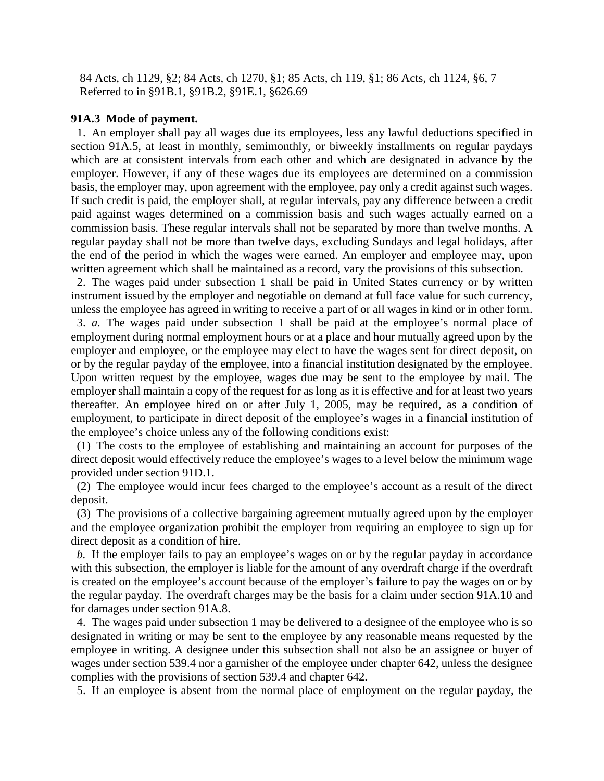84 Acts, ch 1129, §2; 84 Acts, ch 1270, §1; 85 Acts, ch 119, §1; 86 Acts, ch 1124, §6, 7 Referred to in §91B.1, §91B.2, §91E.1, §626.69

#### **91A.3 Mode of payment.**

1. An employer shall pay all wages due its employees, less any lawful deductions specified in section 91A.5, at least in monthly, semimonthly, or biweekly installments on regular paydays which are at consistent intervals from each other and which are designated in advance by the employer. However, if any of these wages due its employees are determined on a commission basis, the employer may, upon agreement with the employee, pay only a credit against such wages. If such credit is paid, the employer shall, at regular intervals, pay any difference between a credit paid against wages determined on a commission basis and such wages actually earned on a commission basis. These regular intervals shall not be separated by more than twelve months. A regular payday shall not be more than twelve days, excluding Sundays and legal holidays, after the end of the period in which the wages were earned. An employer and employee may, upon written agreement which shall be maintained as a record, vary the provisions of this subsection.

2. The wages paid under subsection 1 shall be paid in United States currency or by written instrument issued by the employer and negotiable on demand at full face value for such currency, unless the employee has agreed in writing to receive a part of or all wages in kind or in other form.

3. *a.* The wages paid under subsection 1 shall be paid at the employee's normal place of employment during normal employment hours or at a place and hour mutually agreed upon by the employer and employee, or the employee may elect to have the wages sent for direct deposit, on or by the regular payday of the employee, into a financial institution designated by the employee. Upon written request by the employee, wages due may be sent to the employee by mail. The employer shall maintain a copy of the request for as long as it is effective and for at least two years thereafter. An employee hired on or after July 1, 2005, may be required, as a condition of employment, to participate in direct deposit of the employee's wages in a financial institution of the employee's choice unless any of the following conditions exist:

(1) The costs to the employee of establishing and maintaining an account for purposes of the direct deposit would effectively reduce the employee's wages to a level below the minimum wage provided under section 91D.1.

(2) The employee would incur fees charged to the employee's account as a result of the direct deposit.

(3) The provisions of a collective bargaining agreement mutually agreed upon by the employer and the employee organization prohibit the employer from requiring an employee to sign up for direct deposit as a condition of hire.

*b.* If the employer fails to pay an employee's wages on or by the regular payday in accordance with this subsection, the employer is liable for the amount of any overdraft charge if the overdraft is created on the employee's account because of the employer's failure to pay the wages on or by the regular payday. The overdraft charges may be the basis for a claim under section 91A.10 and for damages under section 91A.8.

4. The wages paid under subsection 1 may be delivered to a designee of the employee who is so designated in writing or may be sent to the employee by any reasonable means requested by the employee in writing. A designee under this subsection shall not also be an assignee or buyer of wages under section 539.4 nor a garnisher of the employee under chapter 642, unless the designee complies with the provisions of section 539.4 and chapter 642.

5. If an employee is absent from the normal place of employment on the regular payday, the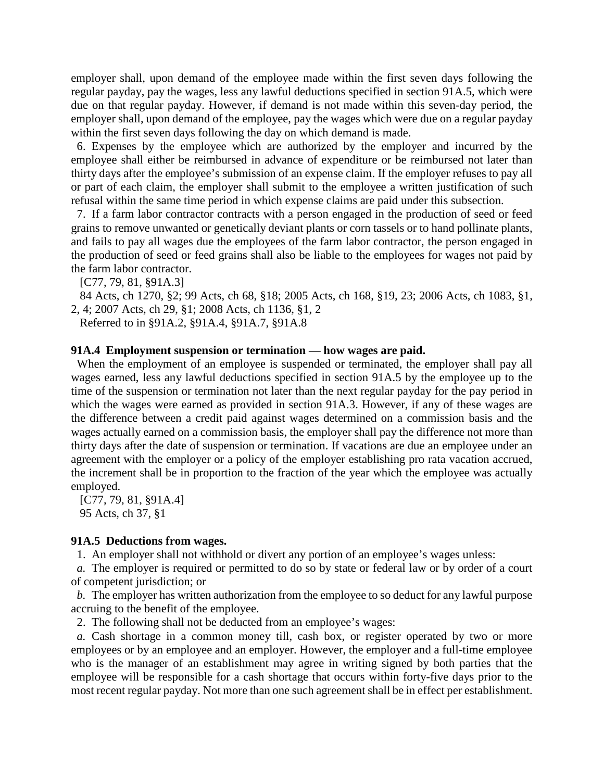employer shall, upon demand of the employee made within the first seven days following the regular payday, pay the wages, less any lawful deductions specified in section 91A.5, which were due on that regular payday. However, if demand is not made within this seven-day period, the employer shall, upon demand of the employee, pay the wages which were due on a regular payday within the first seven days following the day on which demand is made.

6. Expenses by the employee which are authorized by the employer and incurred by the employee shall either be reimbursed in advance of expenditure or be reimbursed not later than thirty days after the employee's submission of an expense claim. If the employer refuses to pay all or part of each claim, the employer shall submit to the employee a written justification of such refusal within the same time period in which expense claims are paid under this subsection.

7. If a farm labor contractor contracts with a person engaged in the production of seed or feed grains to remove unwanted or genetically deviant plants or corn tassels or to hand pollinate plants, and fails to pay all wages due the employees of the farm labor contractor, the person engaged in the production of seed or feed grains shall also be liable to the employees for wages not paid by the farm labor contractor.

[C77, 79, 81, §91A.3]

84 Acts, ch 1270, §2; 99 Acts, ch 68, §18; 2005 Acts, ch 168, §19, 23; 2006 Acts, ch 1083, §1, 2, 4; 2007 Acts, ch 29, §1; 2008 Acts, ch 1136, §1, 2

Referred to in §91A.2, §91A.4, §91A.7, §91A.8

#### **91A.4 Employment suspension or termination — how wages are paid.**

When the employment of an employee is suspended or terminated, the employer shall pay all wages earned, less any lawful deductions specified in section 91A.5 by the employee up to the time of the suspension or termination not later than the next regular payday for the pay period in which the wages were earned as provided in section 91A.3. However, if any of these wages are the difference between a credit paid against wages determined on a commission basis and the wages actually earned on a commission basis, the employer shall pay the difference not more than thirty days after the date of suspension or termination. If vacations are due an employee under an agreement with the employer or a policy of the employer establishing pro rata vacation accrued, the increment shall be in proportion to the fraction of the year which the employee was actually employed.

[C77, 79, 81, §91A.4] 95 Acts, ch 37, §1

#### **91A.5 Deductions from wages.**

1. An employer shall not withhold or divert any portion of an employee's wages unless:

*a.* The employer is required or permitted to do so by state or federal law or by order of a court of competent jurisdiction; or

*b.* The employer has written authorization from the employee to so deduct for any lawful purpose accruing to the benefit of the employee.

2. The following shall not be deducted from an employee's wages:

*a.* Cash shortage in a common money till, cash box, or register operated by two or more employees or by an employee and an employer. However, the employer and a full-time employee who is the manager of an establishment may agree in writing signed by both parties that the employee will be responsible for a cash shortage that occurs within forty-five days prior to the most recent regular payday. Not more than one such agreement shall be in effect per establishment.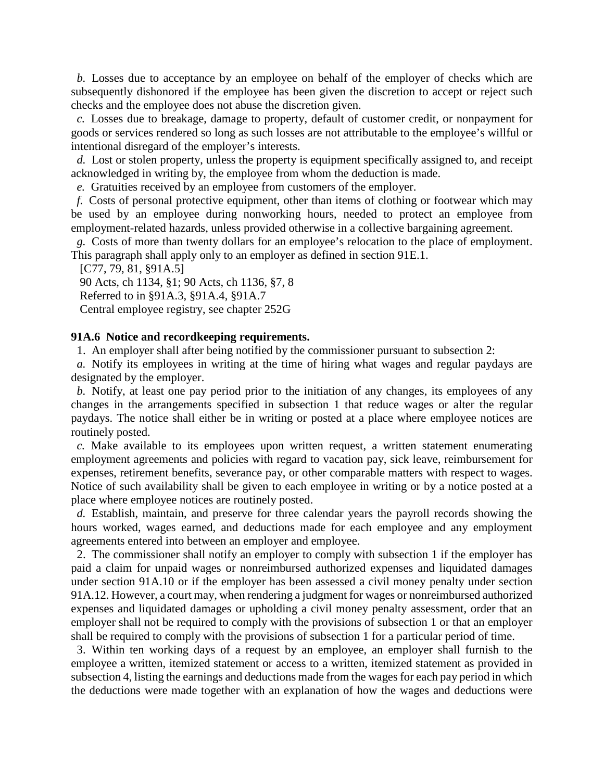*b.* Losses due to acceptance by an employee on behalf of the employer of checks which are subsequently dishonored if the employee has been given the discretion to accept or reject such checks and the employee does not abuse the discretion given.

*c.* Losses due to breakage, damage to property, default of customer credit, or nonpayment for goods or services rendered so long as such losses are not attributable to the employee's willful or intentional disregard of the employer's interests.

*d.* Lost or stolen property, unless the property is equipment specifically assigned to, and receipt acknowledged in writing by, the employee from whom the deduction is made.

*e.* Gratuities received by an employee from customers of the employer.

*f.* Costs of personal protective equipment, other than items of clothing or footwear which may be used by an employee during nonworking hours, needed to protect an employee from employment-related hazards, unless provided otherwise in a collective bargaining agreement.

*g.* Costs of more than twenty dollars for an employee's relocation to the place of employment. This paragraph shall apply only to an employer as defined in section 91E.1.

[C77, 79, 81, §91A.5] 90 Acts, ch 1134, §1; 90 Acts, ch 1136, §7, 8 Referred to in §91A.3, §91A.4, §91A.7 Central employee registry, see chapter 252G

#### **91A.6 Notice and recordkeeping requirements.**

1. An employer shall after being notified by the commissioner pursuant to subsection 2:

*a.* Notify its employees in writing at the time of hiring what wages and regular paydays are designated by the employer.

*b.* Notify, at least one pay period prior to the initiation of any changes, its employees of any changes in the arrangements specified in subsection 1 that reduce wages or alter the regular paydays. The notice shall either be in writing or posted at a place where employee notices are routinely posted.

*c.* Make available to its employees upon written request, a written statement enumerating employment agreements and policies with regard to vacation pay, sick leave, reimbursement for expenses, retirement benefits, severance pay, or other comparable matters with respect to wages. Notice of such availability shall be given to each employee in writing or by a notice posted at a place where employee notices are routinely posted.

*d.* Establish, maintain, and preserve for three calendar years the payroll records showing the hours worked, wages earned, and deductions made for each employee and any employment agreements entered into between an employer and employee.

2. The commissioner shall notify an employer to comply with subsection 1 if the employer has paid a claim for unpaid wages or nonreimbursed authorized expenses and liquidated damages under section 91A.10 or if the employer has been assessed a civil money penalty under section 91A.12. However, a court may, when rendering a judgment for wages or nonreimbursed authorized expenses and liquidated damages or upholding a civil money penalty assessment, order that an employer shall not be required to comply with the provisions of subsection 1 or that an employer shall be required to comply with the provisions of subsection 1 for a particular period of time.

3. Within ten working days of a request by an employee, an employer shall furnish to the employee a written, itemized statement or access to a written, itemized statement as provided in subsection 4, listing the earnings and deductions made from the wages for each pay period in which the deductions were made together with an explanation of how the wages and deductions were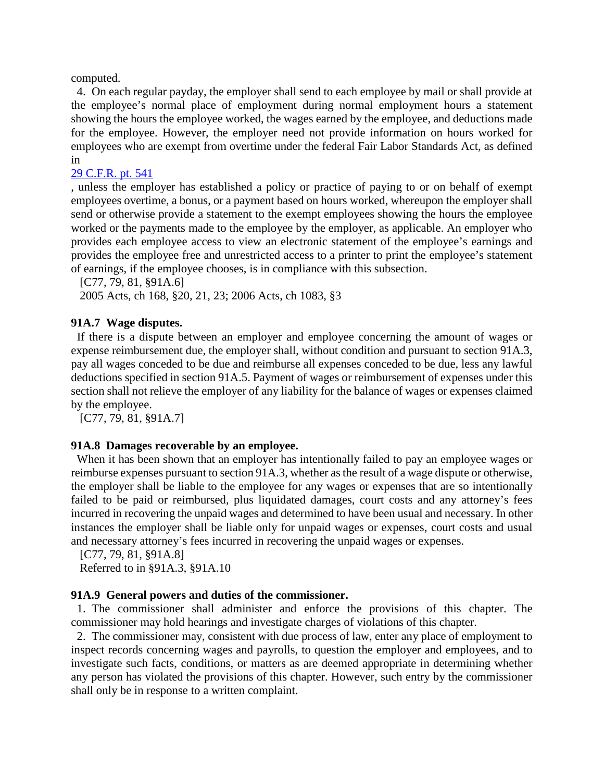computed.

4. On each regular payday, the employer shall send to each employee by mail or shall provide at the employee's normal place of employment during normal employment hours a statement showing the hours the employee worked, the wages earned by the employee, and deductions made for the employee. However, the employer need not provide information on hours worked for employees who are exempt from overtime under the federal Fair Labor Standards Act, as defined in

# 29 C.F.R. pt. 541

, unless the employer has established a policy or practice of paying to or on behalf of exempt employees overtime, a bonus, or a payment based on hours worked, whereupon the employer shall send or otherwise provide a statement to the exempt employees showing the hours the employee worked or the payments made to the employee by the employer, as applicable. An employer who provides each employee access to view an electronic statement of the employee's earnings and provides the employee free and unrestricted access to a printer to print the employee's statement of earnings, if the employee chooses, is in compliance with this subsection.

[C77, 79, 81, §91A.6]

2005 Acts, ch 168, §20, 21, 23; 2006 Acts, ch 1083, §3

# **91A.7 Wage disputes.**

If there is a dispute between an employer and employee concerning the amount of wages or expense reimbursement due, the employer shall, without condition and pursuant to section 91A.3, pay all wages conceded to be due and reimburse all expenses conceded to be due, less any lawful deductions specified in section 91A.5. Payment of wages or reimbursement of expenses under this section shall not relieve the employer of any liability for the balance of wages or expenses claimed by the employee.

[C77, 79, 81, §91A.7]

## **91A.8 Damages recoverable by an employee.**

When it has been shown that an employer has intentionally failed to pay an employee wages or reimburse expenses pursuant to section 91A.3, whether as the result of a wage dispute or otherwise, the employer shall be liable to the employee for any wages or expenses that are so intentionally failed to be paid or reimbursed, plus liquidated damages, court costs and any attorney's fees incurred in recovering the unpaid wages and determined to have been usual and necessary. In other instances the employer shall be liable only for unpaid wages or expenses, court costs and usual and necessary attorney's fees incurred in recovering the unpaid wages or expenses.

[C77, 79, 81, §91A.8] Referred to in §91A.3, §91A.10

## **91A.9 General powers and duties of the commissioner.**

1. The commissioner shall administer and enforce the provisions of this chapter. The commissioner may hold hearings and investigate charges of violations of this chapter.

2. The commissioner may, consistent with due process of law, enter any place of employment to inspect records concerning wages and payrolls, to question the employer and employees, and to investigate such facts, conditions, or matters as are deemed appropriate in determining whether any person has violated the provisions of this chapter. However, such entry by the commissioner shall only be in response to a written complaint.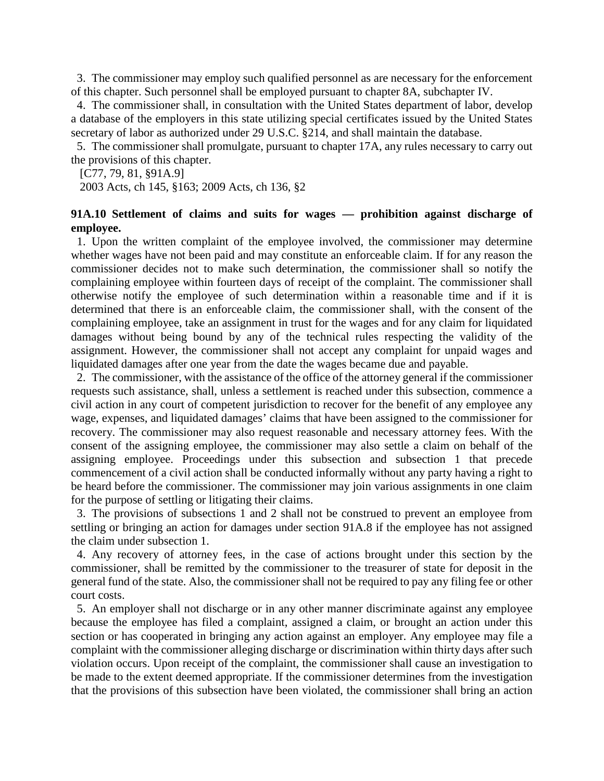3. The commissioner may employ such qualified personnel as are necessary for the enforcement of this chapter. Such personnel shall be employed pursuant to chapter 8A, subchapter IV.

4. The commissioner shall, in consultation with the United States department of labor, develop a database of the employers in this state utilizing special certificates issued by the United States secretary of labor as authorized under 29 U.S.C. §214, and shall maintain the database.

5. The commissioner shall promulgate, pursuant to chapter 17A, any rules necessary to carry out the provisions of this chapter.

[C77, 79, 81, §91A.9]

2003 Acts, ch 145, §163; 2009 Acts, ch 136, §2

# **91A.10 Settlement of claims and suits for wages — prohibition against discharge of employee.**

1. Upon the written complaint of the employee involved, the commissioner may determine whether wages have not been paid and may constitute an enforceable claim. If for any reason the commissioner decides not to make such determination, the commissioner shall so notify the complaining employee within fourteen days of receipt of the complaint. The commissioner shall otherwise notify the employee of such determination within a reasonable time and if it is determined that there is an enforceable claim, the commissioner shall, with the consent of the complaining employee, take an assignment in trust for the wages and for any claim for liquidated damages without being bound by any of the technical rules respecting the validity of the assignment. However, the commissioner shall not accept any complaint for unpaid wages and liquidated damages after one year from the date the wages became due and payable.

2. The commissioner, with the assistance of the office of the attorney general if the commissioner requests such assistance, shall, unless a settlement is reached under this subsection, commence a civil action in any court of competent jurisdiction to recover for the benefit of any employee any wage, expenses, and liquidated damages' claims that have been assigned to the commissioner for recovery. The commissioner may also request reasonable and necessary attorney fees. With the consent of the assigning employee, the commissioner may also settle a claim on behalf of the assigning employee. Proceedings under this subsection and subsection 1 that precede commencement of a civil action shall be conducted informally without any party having a right to be heard before the commissioner. The commissioner may join various assignments in one claim for the purpose of settling or litigating their claims.

3. The provisions of subsections 1 and 2 shall not be construed to prevent an employee from settling or bringing an action for damages under section 91A.8 if the employee has not assigned the claim under subsection 1.

4. Any recovery of attorney fees, in the case of actions brought under this section by the commissioner, shall be remitted by the commissioner to the treasurer of state for deposit in the general fund of the state. Also, the commissioner shall not be required to pay any filing fee or other court costs.

5. An employer shall not discharge or in any other manner discriminate against any employee because the employee has filed a complaint, assigned a claim, or brought an action under this section or has cooperated in bringing any action against an employer. Any employee may file a complaint with the commissioner alleging discharge or discrimination within thirty days after such violation occurs. Upon receipt of the complaint, the commissioner shall cause an investigation to be made to the extent deemed appropriate. If the commissioner determines from the investigation that the provisions of this subsection have been violated, the commissioner shall bring an action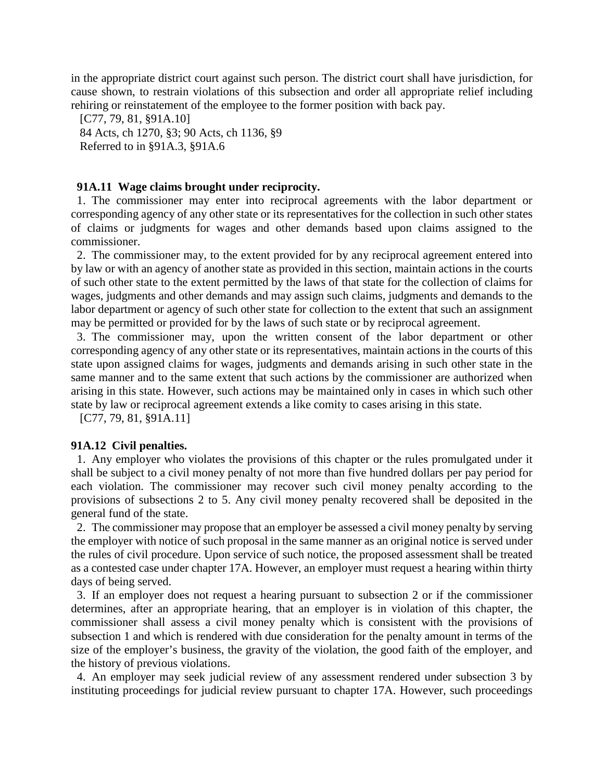in the appropriate district court against such person. The district court shall have jurisdiction, for cause shown, to restrain violations of this subsection and order all appropriate relief including rehiring or reinstatement of the employee to the former position with back pay.

[C77, 79, 81, §91A.10] 84 Acts, ch 1270, §3; 90 Acts, ch 1136, §9 Referred to in §91A.3, §91A.6

#### **91A.11 Wage claims brought under reciprocity.**

1. The commissioner may enter into reciprocal agreements with the labor department or corresponding agency of any other state or its representatives for the collection in such other states of claims or judgments for wages and other demands based upon claims assigned to the commissioner.

2. The commissioner may, to the extent provided for by any reciprocal agreement entered into by law or with an agency of another state as provided in this section, maintain actions in the courts of such other state to the extent permitted by the laws of that state for the collection of claims for wages, judgments and other demands and may assign such claims, judgments and demands to the labor department or agency of such other state for collection to the extent that such an assignment may be permitted or provided for by the laws of such state or by reciprocal agreement.

3. The commissioner may, upon the written consent of the labor department or other corresponding agency of any other state or its representatives, maintain actions in the courts of this state upon assigned claims for wages, judgments and demands arising in such other state in the same manner and to the same extent that such actions by the commissioner are authorized when arising in this state. However, such actions may be maintained only in cases in which such other state by law or reciprocal agreement extends a like comity to cases arising in this state.

[C77, 79, 81, §91A.11]

#### **91A.12 Civil penalties.**

1. Any employer who violates the provisions of this chapter or the rules promulgated under it shall be subject to a civil money penalty of not more than five hundred dollars per pay period for each violation. The commissioner may recover such civil money penalty according to the provisions of subsections 2 to 5. Any civil money penalty recovered shall be deposited in the general fund of the state.

2. The commissioner may propose that an employer be assessed a civil money penalty by serving the employer with notice of such proposal in the same manner as an original notice is served under the rules of civil procedure. Upon service of such notice, the proposed assessment shall be treated as a contested case under chapter 17A. However, an employer must request a hearing within thirty days of being served.

3. If an employer does not request a hearing pursuant to subsection 2 or if the commissioner determines, after an appropriate hearing, that an employer is in violation of this chapter, the commissioner shall assess a civil money penalty which is consistent with the provisions of subsection 1 and which is rendered with due consideration for the penalty amount in terms of the size of the employer's business, the gravity of the violation, the good faith of the employer, and the history of previous violations.

4. An employer may seek judicial review of any assessment rendered under subsection 3 by instituting proceedings for judicial review pursuant to chapter 17A. However, such proceedings